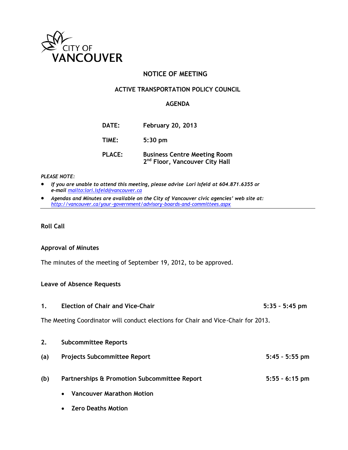

# **NOTICE OF MEETING**

### **ACTIVE TRANSPORTATION POLICY COUNCIL**

#### **AGENDA**

| <b>DATE:</b>  | <b>February 20, 2013</b>                                                          |
|---------------|-----------------------------------------------------------------------------------|
| TIME:         | $5:30$ pm                                                                         |
| <b>PLACE:</b> | <b>Business Centre Meeting Room</b><br>2 <sup>nd</sup> Floor, Vancouver City Hall |

#### *PLEASE NOTE:*

- *If you are unable to attend this meeting, please advise Lori Isfeld at 604.871.6355 or e-mail <mailto:lori.isfeld@vancouver.ca>*
- *Agendas and Minutes are available on the City of Vancouver civic agencies' web site at: <http://vancouver.ca/your-government/advisory-boards-and-committees.aspx>*

## **Roll Call**

#### **Approval of Minutes**

The minutes of the meeting of September 19, 2012, to be approved.

#### **Leave of Absence Requests**

**1. Election of Chair and Vice-Chair 5:35 – 5:45 pm**

The Meeting Coordinator will conduct elections for Chair and Vice-Chair for 2013.

| 2.  | <b>Subcommittee Reports</b>                   |                  |
|-----|-----------------------------------------------|------------------|
| (a) | <b>Projects Subcommittee Report</b>           | $5:45 - 5:55$ pm |
| (b) | Partnerships & Promotion Subcommittee Report  | $5:55 - 6:15$ pm |
|     | <b>Vancouver Marathon Motion</b><br>$\bullet$ |                  |
|     | <b>Zero Deaths Motion</b><br>$\bullet$        |                  |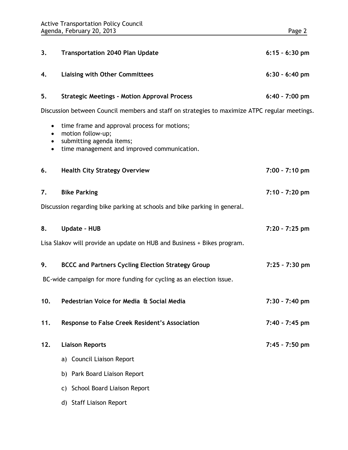| 3.                                                                                            | <b>Transportation 2040 Plan Update</b>                                                                                                       | $6:15 - 6:30$ pm |
|-----------------------------------------------------------------------------------------------|----------------------------------------------------------------------------------------------------------------------------------------------|------------------|
| 4.                                                                                            | <b>Liaising with Other Committees</b>                                                                                                        | $6:30 - 6:40$ pm |
| 5.                                                                                            | <b>Strategic Meetings - Motion Approval Process</b>                                                                                          | $6:40 - 7:00$ pm |
| Discussion between Council members and staff on strategies to maximize ATPC regular meetings. |                                                                                                                                              |                  |
| $\bullet$<br>٠<br>$\bullet$                                                                   | time frame and approval process for motions;<br>motion follow-up;<br>submitting agenda items;<br>time management and improved communication. |                  |
| 6.                                                                                            | <b>Health City Strategy Overview</b>                                                                                                         | 7:00 - 7:10 pm   |
| 7.                                                                                            | <b>Bike Parking</b>                                                                                                                          | 7:10 - 7:20 pm   |
|                                                                                               | Discussion regarding bike parking at schools and bike parking in general.                                                                    |                  |
| 8.                                                                                            | <b>Update - HUB</b>                                                                                                                          | $7:20 - 7:25$ pm |
|                                                                                               | Lisa Slakov will provide an update on HUB and Business + Bikes program.                                                                      |                  |
| 9.                                                                                            | <b>BCCC and Partners Cycling Election Strategy Group</b>                                                                                     | $7:25 - 7:30$ pm |
|                                                                                               | BC-wide campaign for more funding for cycling as an election issue.                                                                          |                  |
| 10.                                                                                           | Pedestrian Voice for Media & Social Media                                                                                                    | 7:30 - 7:40 pm   |
| 11.                                                                                           | <b>Response to False Creek Resident's Association</b>                                                                                        | 7:40 - 7:45 pm   |
| 12.                                                                                           | <b>Liaison Reports</b>                                                                                                                       | 7:45 - 7:50 pm   |
|                                                                                               | a) Council Liaison Report                                                                                                                    |                  |
|                                                                                               | b) Park Board Liaison Report                                                                                                                 |                  |
|                                                                                               | c) School Board Liaison Report                                                                                                               |                  |
|                                                                                               | d) Staff Liaison Report                                                                                                                      |                  |